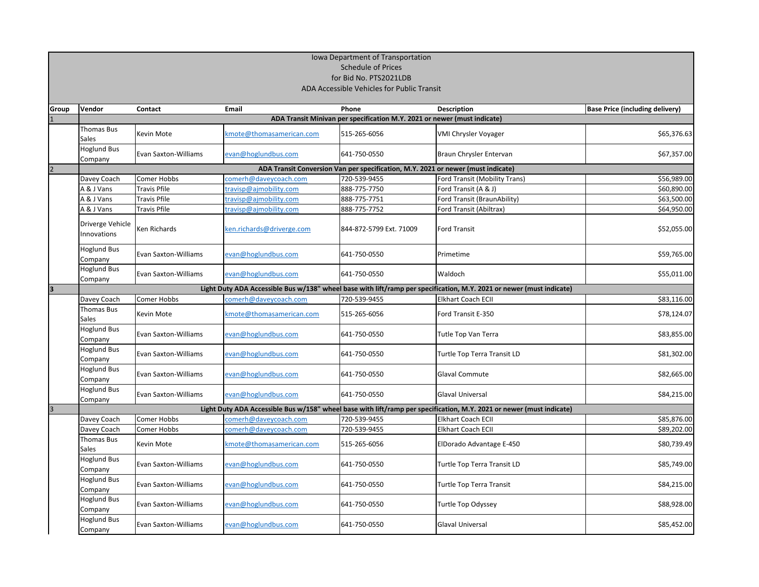| Iowa Department of Transportation<br><b>Schedule of Prices</b><br>for Bid No. PTS2021LDB |                                            |                             |                           |                                                                                  |                                                                                                                      |                                        |  |  |
|------------------------------------------------------------------------------------------|--------------------------------------------|-----------------------------|---------------------------|----------------------------------------------------------------------------------|----------------------------------------------------------------------------------------------------------------------|----------------------------------------|--|--|
|                                                                                          | ADA Accessible Vehicles for Public Transit |                             |                           |                                                                                  |                                                                                                                      |                                        |  |  |
| Group                                                                                    | Vendor                                     | <b>Contact</b>              | <b>Email</b>              | Phone                                                                            | <b>Description</b>                                                                                                   | <b>Base Price (including delivery)</b> |  |  |
|                                                                                          |                                            |                             |                           | ADA Transit Minivan per specification M.Y. 2021 or newer (must indicate)         |                                                                                                                      |                                        |  |  |
|                                                                                          | <b>Thomas Bus</b><br><b>Sales</b>          | <b>Kevin Mote</b>           | kmote@thomasamerican.com  | 515-265-6056                                                                     | <b>VMI Chrysler Voyager</b>                                                                                          | \$65,376.63                            |  |  |
|                                                                                          | <b>Hoglund Bus</b><br>Company              | <b>Evan Saxton-Williams</b> | evan@hoglundbus.com       | 641-750-0550                                                                     | Braun Chrysler Entervan                                                                                              | \$67,357.00                            |  |  |
|                                                                                          |                                            |                             |                           | ADA Transit Conversion Van per specification, M.Y. 2021 or newer (must indicate) |                                                                                                                      |                                        |  |  |
|                                                                                          | Davey Coach                                | <b>Comer Hobbs</b>          | comerh@daveycoach.com     | 720-539-9455                                                                     | Ford Transit (Mobility Trans)                                                                                        | \$56,989.00                            |  |  |
|                                                                                          | A & J Vans                                 | Travis Pfile                | travisp@ajmobility.com    | 888-775-7750                                                                     | Ford Transit (A & J)                                                                                                 | \$60,890.00                            |  |  |
|                                                                                          | A & J Vans                                 | Travis Pfile                | travisp@ajmobility.com    | 888-775-7751                                                                     | Ford Transit (BraunAbility)                                                                                          | \$63,500.00                            |  |  |
|                                                                                          | A & J Vans                                 | Travis Pfile                | travisp@ajmobility.com    | 888-775-7752                                                                     | Ford Transit (Abiltrax)                                                                                              | \$64,950.00                            |  |  |
|                                                                                          | Driverge Vehicle<br>Innovations            | Ken Richards                | ken.richards@driverge.com | 844-872-5799 Ext. 71009                                                          | <b>Ford Transit</b>                                                                                                  | \$52,055.00                            |  |  |
|                                                                                          | Hoglund Bus<br>Company                     | <b>Evan Saxton-Williams</b> | evan@hoglundbus.com       | 641-750-0550                                                                     | Primetime                                                                                                            | \$59,765.00                            |  |  |
|                                                                                          | <b>Hoglund Bus</b><br>Company              | <b>Evan Saxton-Williams</b> | evan@hoglundbus.com       | 641-750-0550                                                                     | Waldoch                                                                                                              | \$55,011.00                            |  |  |
| $\mathbf{3}$                                                                             |                                            |                             |                           |                                                                                  | Light Duty ADA Accessible Bus w/138" wheel base with lift/ramp per specification, M.Y. 2021 or newer (must indicate) |                                        |  |  |
|                                                                                          | Davey Coach                                | <b>Comer Hobbs</b>          | comerh@daveycoach.com     | 720-539-9455                                                                     | <b>Elkhart Coach ECII</b>                                                                                            | \$83,116.00                            |  |  |
|                                                                                          | Thomas Bus<br>Sales                        | <b>Kevin Mote</b>           | kmote@thomasamerican.com  | 515-265-6056                                                                     | Ford Transit E-350                                                                                                   | \$78,124.07                            |  |  |
|                                                                                          | <b>Hoglund Bus</b><br>Company              | <b>Evan Saxton-Williams</b> | evan@hoglundbus.com       | 641-750-0550                                                                     | Tutle Top Van Terra                                                                                                  | \$83,855.00                            |  |  |
|                                                                                          | <b>Hoglund Bus</b><br>Company              | <b>Evan Saxton-Williams</b> | evan@hoglundbus.com       | 641-750-0550                                                                     | Turtle Top Terra Transit LD                                                                                          | \$81,302.00                            |  |  |
|                                                                                          | Hoglund Bus<br>Company                     | <b>Evan Saxton-Williams</b> | evan@hoglundbus.com       | 641-750-0550                                                                     | <b>Glaval Commute</b>                                                                                                | \$82,665.00                            |  |  |
|                                                                                          | <b>Hoglund Bus</b><br>Company              | <b>Evan Saxton-Williams</b> | evan@hoglundbus.com       | 641-750-0550                                                                     | <b>Glaval Universal</b>                                                                                              | \$84,215.00                            |  |  |
| 3                                                                                        |                                            |                             |                           |                                                                                  | Light Duty ADA Accessible Bus w/158" wheel base with lift/ramp per specification, M.Y. 2021 or newer (must indicate) |                                        |  |  |
|                                                                                          | Davey Coach                                | <b>Comer Hobbs</b>          | comerh@daveycoach.com     | 720-539-9455                                                                     | Elkhart Coach ECII                                                                                                   | \$85,876.00                            |  |  |
|                                                                                          | Davey Coach                                | Comer Hobbs                 | comerh@daveycoach.com     | 720-539-9455                                                                     | Elkhart Coach ECII                                                                                                   | \$89,202.00                            |  |  |
|                                                                                          | Thomas Bus<br>Sales                        | <b>Kevin Mote</b>           | kmote@thomasamerican.com  | 515-265-6056                                                                     | ElDorado Advantage E-450                                                                                             | \$80,739.49                            |  |  |
|                                                                                          | <b>Hoglund Bus</b><br>Company              | <b>Evan Saxton-Williams</b> | evan@hoglundbus.com       | 641-750-0550                                                                     | Turtle Top Terra Transit LD                                                                                          | \$85,749.00                            |  |  |
|                                                                                          | <b>Hoglund Bus</b><br>Company              | <b>Evan Saxton-Williams</b> | evan@hoglundbus.com       | 641-750-0550                                                                     | <b>Turtle Top Terra Transit</b>                                                                                      | \$84,215.00                            |  |  |
|                                                                                          | <b>Hoglund Bus</b><br>Company              | <b>Evan Saxton-Williams</b> | evan@hoglundbus.com       | 641-750-0550                                                                     | <b>Turtle Top Odyssey</b>                                                                                            | \$88,928.00                            |  |  |
|                                                                                          | <b>Hoglund Bus</b><br>Company              | <b>Evan Saxton-Williams</b> | evan@hoglundbus.com       | 641-750-0550                                                                     | <b>Glaval Universal</b>                                                                                              | \$85,452.00                            |  |  |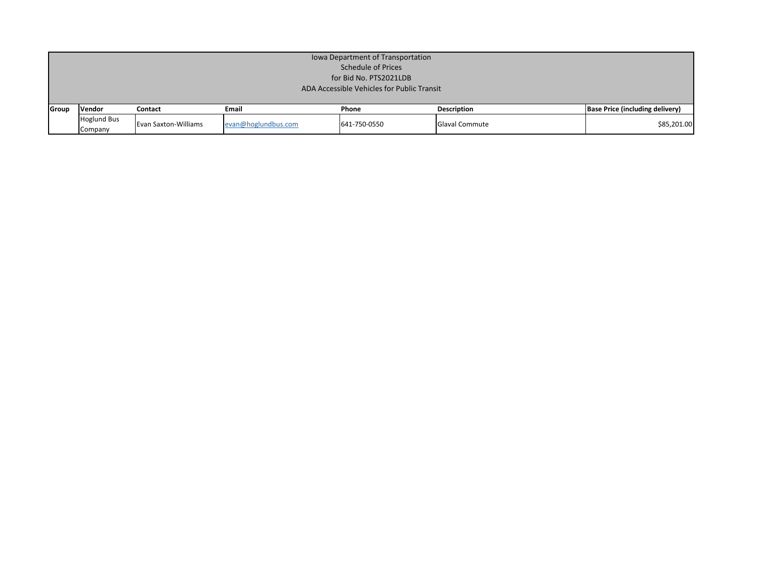|       | Iowa Department of Transportation<br><b>Schedule of Prices</b><br>for Bid No. PTS2021LDB |                      |                     |              |                    |                                        |  |  |
|-------|------------------------------------------------------------------------------------------|----------------------|---------------------|--------------|--------------------|----------------------------------------|--|--|
|       | ADA Accessible Vehicles for Public Transit                                               |                      |                     |              |                    |                                        |  |  |
| Group | <b>Vendor</b>                                                                            | Contact              | Email               | Phone        | <b>Description</b> | <b>Base Price (including delivery)</b> |  |  |
|       | <b>Hoglund Bus</b><br>Company                                                            | Evan Saxton-Williams | evan@hoglundbus.com | 641-750-0550 | Glaval Commute     | \$85,201.00                            |  |  |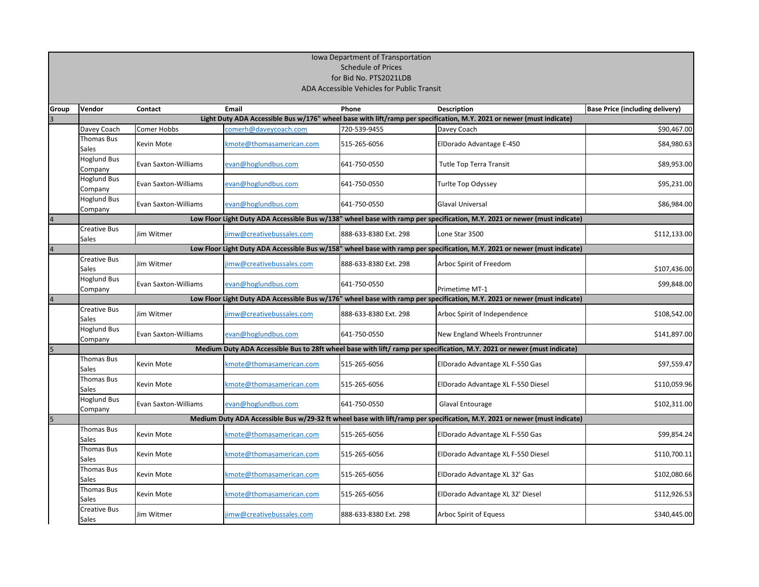|                         | Iowa Department of Transportation                                                                                         |                             |                          |                       |                                                                                                                           |                                        |  |  |
|-------------------------|---------------------------------------------------------------------------------------------------------------------------|-----------------------------|--------------------------|-----------------------|---------------------------------------------------------------------------------------------------------------------------|----------------------------------------|--|--|
|                         | <b>Schedule of Prices</b>                                                                                                 |                             |                          |                       |                                                                                                                           |                                        |  |  |
|                         | for Bid No. PTS2021LDB                                                                                                    |                             |                          |                       |                                                                                                                           |                                        |  |  |
|                         | ADA Accessible Vehicles for Public Transit                                                                                |                             |                          |                       |                                                                                                                           |                                        |  |  |
| <b>Group</b>            | Vendor                                                                                                                    | Contact                     | Email                    | <b>Phone</b>          | <b>Description</b>                                                                                                        | <b>Base Price (including delivery)</b> |  |  |
| 3                       |                                                                                                                           |                             |                          |                       | Light Duty ADA Accessible Bus w/176" wheel base with lift/ramp per specification, M.Y. 2021 or newer (must indicate)      |                                        |  |  |
|                         | Davey Coach                                                                                                               | <b>Comer Hobbs</b>          | comerh@daveycoach.com    | 720-539-9455          | Davey Coach                                                                                                               | \$90,467.00                            |  |  |
|                         | <b>Thomas Bus</b><br>Sales                                                                                                | Kevin Mote                  | kmote@thomasamerican.com | 515-265-6056          | ElDorado Advantage E-450                                                                                                  | \$84,980.63                            |  |  |
|                         | Hoglund Bus<br>Company                                                                                                    | <b>Evan Saxton-Williams</b> | evan@hoglundbus.com      | 641-750-0550          | <b>Tutle Top Terra Transit</b>                                                                                            | \$89,953.00                            |  |  |
|                         | <b>Hoglund Bus</b><br>Company                                                                                             | <b>Evan Saxton-Williams</b> | evan@hoglundbus.com      | 641-750-0550          | Turlte Top Odyssey                                                                                                        | \$95,231.00                            |  |  |
|                         | Hoglund Bus<br>Company                                                                                                    | <b>Evan Saxton-Williams</b> | evan@hoglundbus.com      | 641-750-0550          | <b>Glaval Universal</b>                                                                                                   | \$86,984.00                            |  |  |
| $\overline{\mathbf{4}}$ |                                                                                                                           |                             |                          |                       | Low Floor Light Duty ADA Accessible Bus w/138" wheel base with ramp per specification, M.Y. 2021 or newer (must indicate) |                                        |  |  |
|                         | <b>Creative Bus</b><br><b>Sales</b>                                                                                       | Jim Witmer                  | imw@creativebussales.com | 888-633-8380 Ext. 298 | Lone Star 3500                                                                                                            | \$112,133.00                           |  |  |
| $\overline{4}$          |                                                                                                                           |                             |                          |                       | Low Floor Light Duty ADA Accessible Bus w/158" wheel base with ramp per specification, M.Y. 2021 or newer (must indicate) |                                        |  |  |
|                         | Creative Bus<br>Sales                                                                                                     | Jim Witmer                  | imw@creativebussales.com | 888-633-8380 Ext. 298 | Arboc Spirit of Freedom                                                                                                   | \$107,436.00                           |  |  |
|                         | <b>Hoglund Bus</b><br>Company                                                                                             | <b>Evan Saxton-Williams</b> | evan@hoglundbus.com      | 641-750-0550          | Primetime MT-1                                                                                                            | \$99,848.00                            |  |  |
| $\overline{4}$          | Low Floor Light Duty ADA Accessible Bus w/176" wheel base with ramp per specification, M.Y. 2021 or newer (must indicate) |                             |                          |                       |                                                                                                                           |                                        |  |  |
|                         | Creative Bus<br>Sales                                                                                                     | Jim Witmer                  | imw@creativebussales.com | 888-633-8380 Ext. 298 | Arboc Spirit of Independence                                                                                              | \$108,542.00                           |  |  |
|                         | <b>Hoglund Bus</b><br>Company                                                                                             | <b>Evan Saxton-Williams</b> | evan@hoglundbus.com      | 641-750-0550          | New England Wheels Frontrunner                                                                                            | \$141,897.00                           |  |  |
| $\overline{\mathbf{5}}$ | Medium Duty ADA Accessible Bus to 28ft wheel base with lift/ramp per specification, M.Y. 2021 or newer (must indicate)    |                             |                          |                       |                                                                                                                           |                                        |  |  |
|                         | <b>Thomas Bus</b><br><b>Sales</b>                                                                                         | <b>Kevin Mote</b>           | kmote@thomasamerican.com | 515-265-6056          | ElDorado Advantage XL F-550 Gas                                                                                           | \$97,559.47                            |  |  |
|                         | <b>Thomas Bus</b><br><b>Sales</b>                                                                                         | Kevin Mote                  | cmote@thomasamerican.com | 515-265-6056          | ElDorado Advantage XL F-550 Diesel                                                                                        | \$110,059.96                           |  |  |
|                         | <b>Hoglund Bus</b><br>Company                                                                                             | <b>Evan Saxton-Williams</b> | evan@hoglundbus.com      | 641-750-0550          | Glaval Entourage                                                                                                          | \$102,311.00                           |  |  |
| $\overline{\mathbf{5}}$ |                                                                                                                           |                             |                          |                       | Medium Duty ADA Accessible Bus w/29-32 ft wheel base with lift/ramp per specification, M.Y. 2021 or newer (must indicate) |                                        |  |  |
|                         | Thomas Bus<br>Sales                                                                                                       | Kevin Mote                  | kmote@thomasamerican.com | 515-265-6056          | ElDorado Advantage XL F-550 Gas                                                                                           | \$99,854.24                            |  |  |
|                         | <b>Thomas Bus</b><br><b>Sales</b>                                                                                         | Kevin Mote                  | kmote@thomasamerican.com | 515-265-6056          | ElDorado Advantage XL F-550 Diesel                                                                                        | \$110,700.11                           |  |  |
|                         | <b>Thomas Bus</b><br><b>Sales</b>                                                                                         | <b>Kevin Mote</b>           | kmote@thomasamerican.com | 515-265-6056          | ElDorado Advantage XL 32' Gas                                                                                             | \$102,080.66                           |  |  |
|                         | Thomas Bus<br><b>Sales</b>                                                                                                | <b>Kevin Mote</b>           | kmote@thomasamerican.com | 515-265-6056          | ElDorado Advantage XL 32' Diesel                                                                                          | \$112,926.53                           |  |  |
|                         | Creative Bus<br><b>Sales</b>                                                                                              | Jim Witmer                  | imw@creativebussales.com | 888-633-8380 Ext. 298 | Arboc Spirit of Equess                                                                                                    | \$340,445.00                           |  |  |